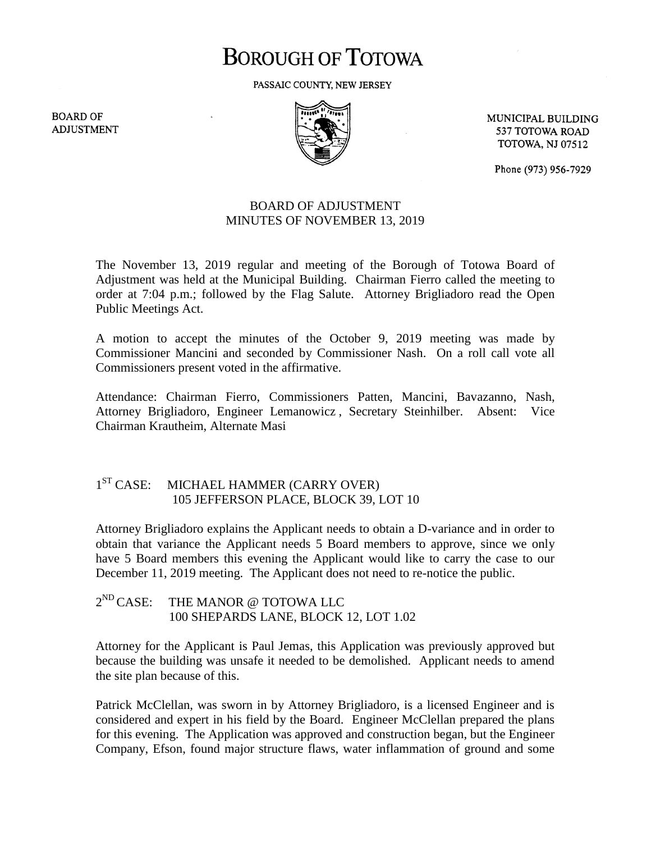# **BOROUGH OF TOTOWA**

PASSAIC COUNTY, NEW JERSEY

**BOARD OF ADJUSTMENT** 



MUNICIPAL BUILDING 537 TOTOWA ROAD **TOTOWA, NJ 07512** 

Phone (973) 956-7929

## BOARD OF ADJUSTMENT MINUTES OF NOVEMBER 13, 2019

The November 13, 2019 regular and meeting of the Borough of Totowa Board of Adjustment was held at the Municipal Building. Chairman Fierro called the meeting to order at 7:04 p.m.; followed by the Flag Salute. Attorney Brigliadoro read the Open Public Meetings Act.

A motion to accept the minutes of the October 9, 2019 meeting was made by Commissioner Mancini and seconded by Commissioner Nash. On a roll call vote all Commissioners present voted in the affirmative.

Attendance: Chairman Fierro, Commissioners Patten, Mancini, Bavazanno, Nash, Attorney Brigliadoro, Engineer Lemanowicz , Secretary Steinhilber. Absent: Vice Chairman Krautheim, Alternate Masi

#### $1<sup>ST</sup> CASE:$ MICHAEL HAMMER (CARRY OVER) 105 JEFFERSON PLACE, BLOCK 39, LOT 10

Attorney Brigliadoro explains the Applicant needs to obtain a D-variance and in order to obtain that variance the Applicant needs 5 Board members to approve, since we only have 5 Board members this evening the Applicant would like to carry the case to our December 11, 2019 meeting. The Applicant does not need to re-notice the public.

 $2^{ND}$  CASE: THE MANOR @ TOTOWA LLC 100 SHEPARDS LANE, BLOCK 12, LOT 1.02

Attorney for the Applicant is Paul Jemas, this Application was previously approved but because the building was unsafe it needed to be demolished. Applicant needs to amend the site plan because of this.

Patrick McClellan, was sworn in by Attorney Brigliadoro, is a licensed Engineer and is considered and expert in his field by the Board. Engineer McClellan prepared the plans for this evening. The Application was approved and construction began, but the Engineer Company, Efson, found major structure flaws, water inflammation of ground and some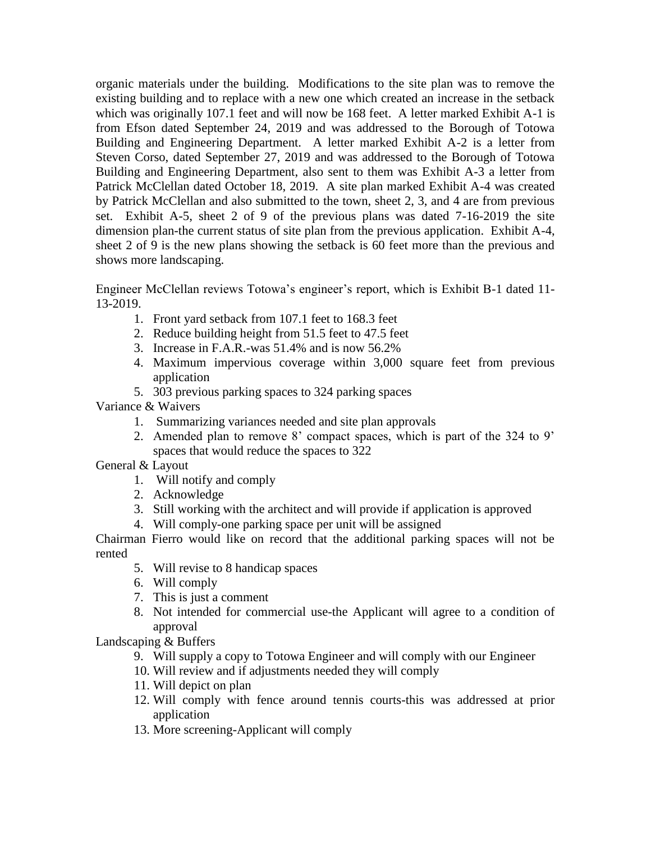organic materials under the building. Modifications to the site plan was to remove the existing building and to replace with a new one which created an increase in the setback which was originally 107.1 feet and will now be 168 feet. A letter marked Exhibit A-1 is from Efson dated September 24, 2019 and was addressed to the Borough of Totowa Building and Engineering Department. A letter marked Exhibit A-2 is a letter from Steven Corso, dated September 27, 2019 and was addressed to the Borough of Totowa Building and Engineering Department, also sent to them was Exhibit A-3 a letter from Patrick McClellan dated October 18, 2019. A site plan marked Exhibit A-4 was created by Patrick McClellan and also submitted to the town, sheet 2, 3, and 4 are from previous set. Exhibit A-5, sheet 2 of 9 of the previous plans was dated 7-16-2019 the site dimension plan-the current status of site plan from the previous application. Exhibit A-4, sheet 2 of 9 is the new plans showing the setback is 60 feet more than the previous and shows more landscaping.

Engineer McClellan reviews Totowa's engineer's report, which is Exhibit B-1 dated 11- 13-2019.

- 1. Front yard setback from 107.1 feet to 168.3 feet
- 2. Reduce building height from 51.5 feet to 47.5 feet
- 3. Increase in F.A.R.-was 51.4% and is now 56.2%
- 4. Maximum impervious coverage within 3,000 square feet from previous application
- 5. 303 previous parking spaces to 324 parking spaces

Variance & Waivers

- 1. Summarizing variances needed and site plan approvals
- 2. Amended plan to remove 8' compact spaces, which is part of the 324 to 9' spaces that would reduce the spaces to 322
- General & Layout
	- 1. Will notify and comply
	- 2. Acknowledge
	- 3. Still working with the architect and will provide if application is approved
	- 4. Will comply-one parking space per unit will be assigned

Chairman Fierro would like on record that the additional parking spaces will not be rented

- 5. Will revise to 8 handicap spaces
- 6. Will comply
- 7. This is just a comment
- 8. Not intended for commercial use-the Applicant will agree to a condition of approval

Landscaping & Buffers

- 9. Will supply a copy to Totowa Engineer and will comply with our Engineer
- 10. Will review and if adjustments needed they will comply
- 11. Will depict on plan
- 12. Will comply with fence around tennis courts-this was addressed at prior application
- 13. More screening-Applicant will comply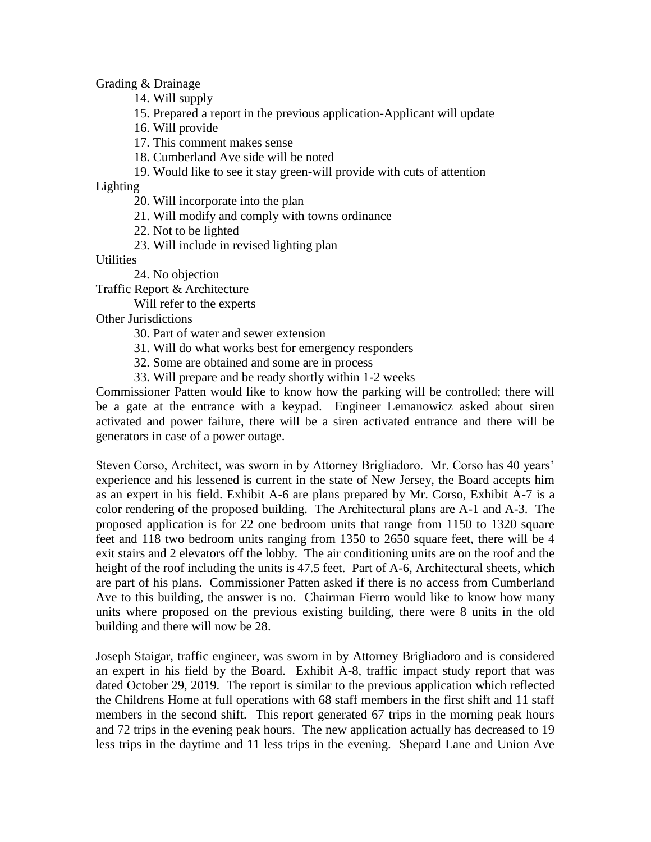Grading & Drainage

- 14. Will supply
- 15. Prepared a report in the previous application-Applicant will update
- 16. Will provide
- 17. This comment makes sense
- 18. Cumberland Ave side will be noted
- 19. Would like to see it stay green-will provide with cuts of attention

Lighting

- 20. Will incorporate into the plan
- 21. Will modify and comply with towns ordinance
- 22. Not to be lighted
- 23. Will include in revised lighting plan

**Utilities** 

24. No objection

Traffic Report & Architecture

Will refer to the experts

Other Jurisdictions

- 30. Part of water and sewer extension
- 31. Will do what works best for emergency responders
- 32. Some are obtained and some are in process
- 33. Will prepare and be ready shortly within 1-2 weeks

Commissioner Patten would like to know how the parking will be controlled; there will be a gate at the entrance with a keypad. Engineer Lemanowicz asked about siren activated and power failure, there will be a siren activated entrance and there will be generators in case of a power outage.

Steven Corso, Architect, was sworn in by Attorney Brigliadoro. Mr. Corso has 40 years' experience and his lessened is current in the state of New Jersey, the Board accepts him as an expert in his field. Exhibit A-6 are plans prepared by Mr. Corso, Exhibit A-7 is a color rendering of the proposed building. The Architectural plans are A-1 and A-3. The proposed application is for 22 one bedroom units that range from 1150 to 1320 square feet and 118 two bedroom units ranging from 1350 to 2650 square feet, there will be 4 exit stairs and 2 elevators off the lobby. The air conditioning units are on the roof and the height of the roof including the units is 47.5 feet. Part of A-6, Architectural sheets, which are part of his plans. Commissioner Patten asked if there is no access from Cumberland Ave to this building, the answer is no. Chairman Fierro would like to know how many units where proposed on the previous existing building, there were 8 units in the old building and there will now be 28.

Joseph Staigar, traffic engineer, was sworn in by Attorney Brigliadoro and is considered an expert in his field by the Board. Exhibit A-8, traffic impact study report that was dated October 29, 2019. The report is similar to the previous application which reflected the Childrens Home at full operations with 68 staff members in the first shift and 11 staff members in the second shift. This report generated 67 trips in the morning peak hours and 72 trips in the evening peak hours. The new application actually has decreased to 19 less trips in the daytime and 11 less trips in the evening. Shepard Lane and Union Ave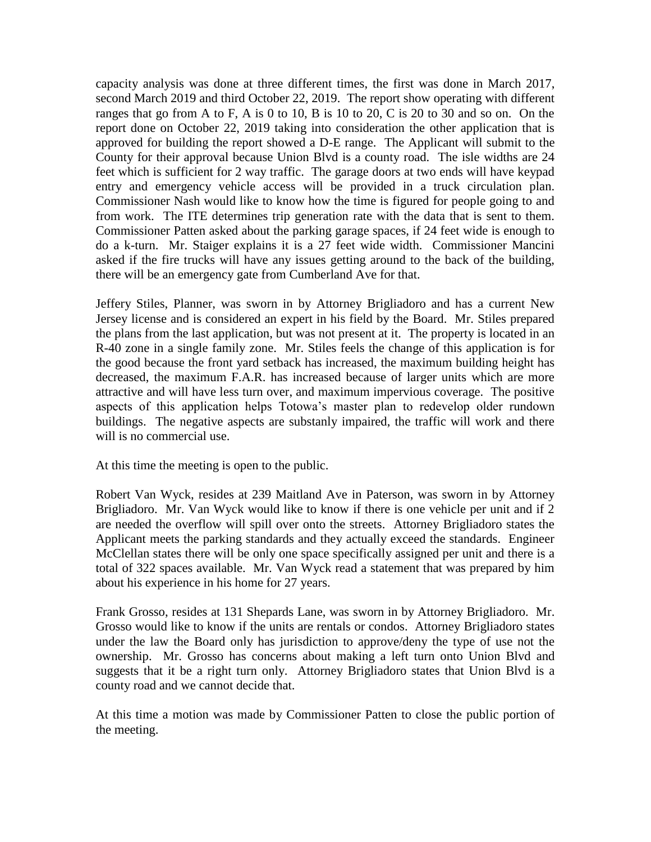capacity analysis was done at three different times, the first was done in March 2017, second March 2019 and third October 22, 2019. The report show operating with different ranges that go from A to F, A is 0 to 10, B is 10 to 20, C is 20 to 30 and so on. On the report done on October 22, 2019 taking into consideration the other application that is approved for building the report showed a D-E range. The Applicant will submit to the County for their approval because Union Blvd is a county road. The isle widths are 24 feet which is sufficient for 2 way traffic. The garage doors at two ends will have keypad entry and emergency vehicle access will be provided in a truck circulation plan. Commissioner Nash would like to know how the time is figured for people going to and from work. The ITE determines trip generation rate with the data that is sent to them. Commissioner Patten asked about the parking garage spaces, if 24 feet wide is enough to do a k-turn. Mr. Staiger explains it is a 27 feet wide width. Commissioner Mancini asked if the fire trucks will have any issues getting around to the back of the building, there will be an emergency gate from Cumberland Ave for that.

Jeffery Stiles, Planner, was sworn in by Attorney Brigliadoro and has a current New Jersey license and is considered an expert in his field by the Board. Mr. Stiles prepared the plans from the last application, but was not present at it. The property is located in an R-40 zone in a single family zone. Mr. Stiles feels the change of this application is for the good because the front yard setback has increased, the maximum building height has decreased, the maximum F.A.R. has increased because of larger units which are more attractive and will have less turn over, and maximum impervious coverage. The positive aspects of this application helps Totowa's master plan to redevelop older rundown buildings. The negative aspects are substanly impaired, the traffic will work and there will is no commercial use.

At this time the meeting is open to the public.

Robert Van Wyck, resides at 239 Maitland Ave in Paterson, was sworn in by Attorney Brigliadoro. Mr. Van Wyck would like to know if there is one vehicle per unit and if 2 are needed the overflow will spill over onto the streets. Attorney Brigliadoro states the Applicant meets the parking standards and they actually exceed the standards. Engineer McClellan states there will be only one space specifically assigned per unit and there is a total of 322 spaces available. Mr. Van Wyck read a statement that was prepared by him about his experience in his home for 27 years.

Frank Grosso, resides at 131 Shepards Lane, was sworn in by Attorney Brigliadoro. Mr. Grosso would like to know if the units are rentals or condos. Attorney Brigliadoro states under the law the Board only has jurisdiction to approve/deny the type of use not the ownership. Mr. Grosso has concerns about making a left turn onto Union Blvd and suggests that it be a right turn only. Attorney Brigliadoro states that Union Blvd is a county road and we cannot decide that.

At this time a motion was made by Commissioner Patten to close the public portion of the meeting.